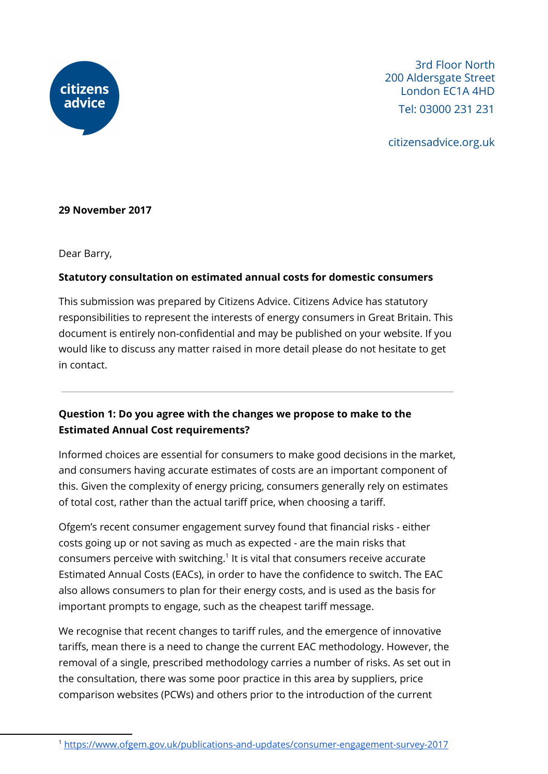

3rd Floor North 200 Aldersgate Street London EC1A 4HD Tel: 03000 231 231

citizensadvice.org.uk

## **29 November 2017**

Dear Barry,

## **Statutory consultation on estimated annual costs for domestic consumers**

This submission was prepared by Citizens Advice. Citizens Advice has statutory responsibilities to represent the interests of energy consumers in Great Britain. This document is entirely non-confidential and may be published on your website. If you would like to discuss any matter raised in more detail please do not hesitate to get in contact.

## **Question 1: Do you agree with the changes we propose to make to the Estimated Annual Cost requirements?**

Informed choices are essential for consumers to make good decisions in the market, and consumers having accurate estimates of costs are an important component of this. Given the complexity of energy pricing, consumers generally rely on estimates of total cost, rather than the actual tariff price, when choosing a tariff.

Ofgem's recent consumer engagement survey found that financial risks - either costs going up or not saving as much as expected - are the main risks that consumers perceive with switching. $1$  It is vital that consumers receive accurate Estimated Annual Costs (EACs), in order to have the confidence to switch. The EAC also allows consumers to plan for their energy costs, and is used as the basis for important prompts to engage, such as the cheapest tariff message.

We recognise that recent changes to tariff rules, and the emergence of innovative tariffs, mean there is a need to change the current EAC methodology. However, the removal of a single, prescribed methodology carries a number of risks. As set out in the consultation, there was some poor practice in this area by suppliers, price comparison websites (PCWs) and others prior to the introduction of the current

<sup>1</sup> <https://www.ofgem.gov.uk/publications-and-updates/consumer-engagement-survey-2017>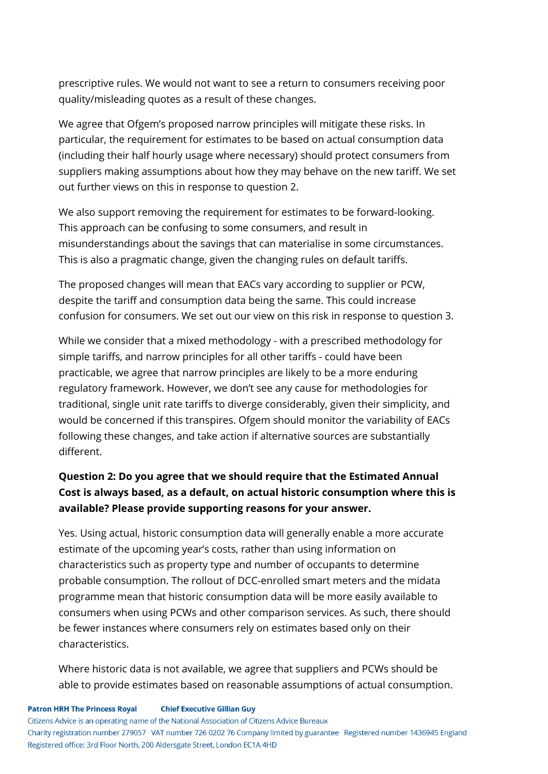prescriptive rules. We would not want to see a return to consumers receiving poor quality/misleading quotes as a result of these changes.

We agree that Ofgem's proposed narrow principles will mitigate these risks. In particular, the requirement for estimates to be based on actual consumption data (including their half hourly usage where necessary) should protect consumers from suppliers making assumptions about how they may behave on the new tariff. We set out further views on this in response to question 2.

We also support removing the requirement for estimates to be forward-looking. This approach can be confusing to some consumers, and result in misunderstandings about the savings that can materialise in some circumstances. This is also a pragmatic change, given the changing rules on default tariffs.

The proposed changes will mean that EACs vary according to supplier or PCW, despite the tariff and consumption data being the same. This could increase confusion for consumers. We set out our view on this risk in response to question 3.

While we consider that a mixed methodology - with a prescribed methodology for simple tariffs, and narrow principles for all other tariffs - could have been practicable, we agree that narrow principles are likely to be a more enduring regulatory framework. However, we don't see any cause for methodologies for traditional, single unit rate tariffs to diverge considerably, given their simplicity, and would be concerned if this transpires. Ofgem should monitor the variability of EACs following these changes, and take action if alternative sources are substantially different.

# **Question 2: Do you agree that we should require that the Estimated Annual Cost is always based, as a default, on actual historic consumption where this is available? Please provide supporting reasons for your answer.**

Yes. Using actual, historic consumption data will generally enable a more accurate estimate of the upcoming year's costs, rather than using information on characteristics such as property type and number of occupants to determine probable consumption. The rollout of DCC-enrolled smart meters and the midata programme mean that historic consumption data will be more easily available to consumers when using PCWs and other comparison services. As such, there should be fewer instances where consumers rely on estimates based only on their characteristics.

Where historic data is not available, we agree that suppliers and PCWs should be able to provide estimates based on reasonable assumptions of actual consumption.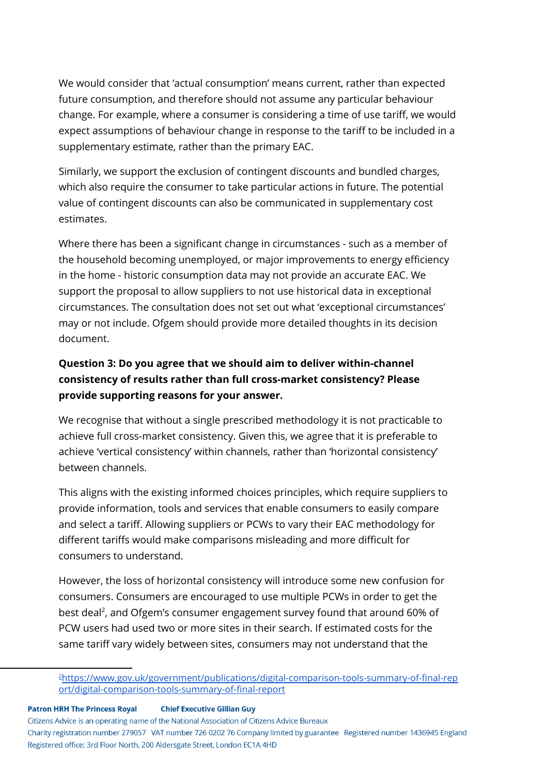We would consider that 'actual consumption' means current, rather than expected future consumption, and therefore should not assume any particular behaviour change. For example, where a consumer is considering a time of use tariff, we would expect assumptions of behaviour change in response to the tariff to be included in a supplementary estimate, rather than the primary EAC.

Similarly, we support the exclusion of contingent discounts and bundled charges, which also require the consumer to take particular actions in future. The potential value of contingent discounts can also be communicated in supplementary cost estimates.

Where there has been a significant change in circumstances - such as a member of the household becoming unemployed, or major improvements to energy efficiency in the home - historic consumption data may not provide an accurate EAC. We support the proposal to allow suppliers to not use historical data in exceptional circumstances. The consultation does not set out what 'exceptional circumstances' may or not include. Ofgem should provide more detailed thoughts in its decision document.

# **Question 3: Do you agree that we should aim to deliver within-channel consistency of results rather than full cross-market consistency? Please provide supporting reasons for your answer.**

We recognise that without a single prescribed methodology it is not practicable to achieve full cross-market consistency. Given this, we agree that it is preferable to achieve 'vertical consistency' within channels, rather than 'horizontal consistency' between channels.

This aligns with the existing informed choices principles, which require suppliers to provide information, tools and services that enable consumers to easily compare and select a tariff. Allowing suppliers or PCWs to vary their EAC methodology for different tariffs would make comparisons misleading and more difficult for consumers to understand.

However, the loss of horizontal consistency will introduce some new confusion for consumers. Consumers are encouraged to use multiple PCWs in order to get the best deal<sup>2</sup>, and Ofgem's consumer engagement survey found that around 60% of PCW users had used two or more sites in their search. If estimated costs for the same tariff vary widely between sites, consumers may not understand that the

**Patron HRH The Princess Royal Chief Executive Gillian Guy** 

Citizens Advice is an operating name of the National Association of Citizens Advice Bureaux

Charity registration number 279057 VAT number 726 0202 76 Company limited by guarantee Registered number 1436945 England Registered office: 3rd Floor North, 200 Aldersgate Street, London EC1A 4HD

<sup>2</sup>[https://www.gov.uk/government/publications/digital-comparison-tools-summary-of-final-rep](https://www.gov.uk/government/publications/digital-comparison-tools-summary-of-final-report/digital-comparison-tools-summary-of-final-report) [ort/digital-comparison-tools-summary-of-final-report](https://www.gov.uk/government/publications/digital-comparison-tools-summary-of-final-report/digital-comparison-tools-summary-of-final-report)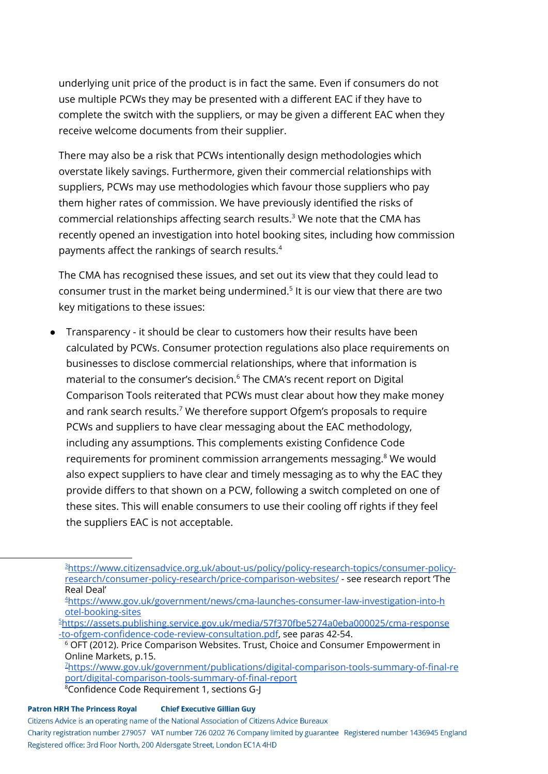underlying unit price of the product is in fact the same. Even if consumers do not use multiple PCWs they may be presented with a different EAC if they have to complete the switch with the suppliers, or may be given a different EAC when they receive welcome documents from their supplier.

There may also be a risk that PCWs intentionally design methodologies which overstate likely savings. Furthermore, given their commercial relationships with suppliers, PCWs may use methodologies which favour those suppliers who pay them higher rates of commission. We have previously identified the risks of commercial relationships affecting search results. $3$  We note that the CMA has recently opened an investigation into hotel booking sites, including how commission payments affect the rankings of search results. 4

The CMA has recognised these issues, and set out its view that they could lead to consumer trust in the market being undermined. $5$  It is our view that there are two key mitigations to these issues:

● Transparency - it should be clear to customers how their results have been calculated by PCWs. Consumer protection regulations also place requirements on businesses to disclose commercial relationships, where that information is material to the consumer's decision.<sup>6</sup> The CMA's recent report on Digital Comparison Tools reiterated that PCWs must clear about how they make money and rank search results. $7$  We therefore support Ofgem's proposals to require PCWs and suppliers to have clear messaging about the EAC methodology, including any assumptions. This complements existing Confidence Code requirements for prominent commission arrangements messaging. $8$  We would also expect suppliers to have clear and timely messaging as to why the EAC they provide differs to that shown on a PCW, following a switch completed on one of these sites. This will enable consumers to use their cooling off rights if they feel the suppliers EAC is not acceptable.

#### **Patron HRH The Princess Royal Chief Executive Gillian Guy**

Citizens Advice is an operating name of the National Association of Citizens Advice Bureaux

<sup>3</sup>[https://www.citizensadvice.org.uk/about-us/policy/policy-research-topics/consumer-policy](https://www.citizensadvice.org.uk/about-us/policy/policy-research-topics/consumer-policy-research/consumer-policy-research/price-comparison-websites/)[research/consumer-policy-research/price-comparison-websites/](https://www.citizensadvice.org.uk/about-us/policy/policy-research-topics/consumer-policy-research/consumer-policy-research/price-comparison-websites/) - see research report 'The Real Deal'

<sup>4</sup>[https://www.gov.uk/government/news/cma-launches-consumer-law-investigation-into-h](https://www.gov.uk/government/news/cma-launches-consumer-law-investigation-into-hotel-booking-sites) [otel-booking-sites](https://www.gov.uk/government/news/cma-launches-consumer-law-investigation-into-hotel-booking-sites)

<sup>5</sup>[https://assets.publishing.service.gov.uk/media/57f370fbe5274a0eba000025/cma-response](https://assets.publishing.service.gov.uk/media/57f370fbe5274a0eba000025/cma-response-to-ofgem-confidence-code-review-consultation.pdf) [-to-ofgem-confidence-code-review-consultation.pdf,](https://assets.publishing.service.gov.uk/media/57f370fbe5274a0eba000025/cma-response-to-ofgem-confidence-code-review-consultation.pdf) see paras 42-54.

<sup>&</sup>lt;sup>6</sup> OFT (2012). Price Comparison Websites. Trust, Choice and Consumer Empowerment in Online Markets, p.15.

<sup>7</sup>[https://www.gov.uk/government/publications/digital-comparison-tools-summary-of-final-re](https://www.gov.uk/government/publications/digital-comparison-tools-summary-of-final-report/digital-comparison-tools-summary-of-final-report) [port/digital-comparison-tools-summary-of-final-report](https://www.gov.uk/government/publications/digital-comparison-tools-summary-of-final-report/digital-comparison-tools-summary-of-final-report)

<sup>8</sup>Confidence Code Requirement 1, sections G-J

Charity registration number 279057 VAT number 726 0202 76 Company limited by guarantee Registered number 1436945 England Registered office: 3rd Floor North, 200 Aldersgate Street, London EC1A 4HD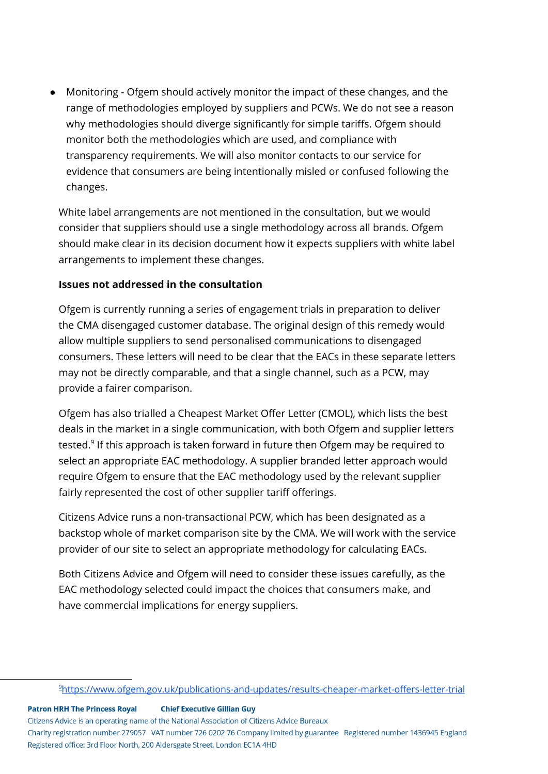● Monitoring - Ofgem should actively monitor the impact of these changes, and the range of methodologies employed by suppliers and PCWs. We do not see a reason why methodologies should diverge significantly for simple tariffs. Ofgem should monitor both the methodologies which are used, and compliance with transparency requirements. We will also monitor contacts to our service for evidence that consumers are being intentionally misled or confused following the changes.

White label arrangements are not mentioned in the consultation, but we would consider that suppliers should use a single methodology across all brands. Ofgem should make clear in its decision document how it expects suppliers with white label arrangements to implement these changes.

## **Issues not addressed in the consultation**

Ofgem is currently running a series of engagement trials in preparation to deliver the CMA disengaged customer database. The original design of this remedy would allow multiple suppliers to send personalised communications to disengaged consumers. These letters will need to be clear that the EACs in these separate letters may not be directly comparable, and that a single channel, such as a PCW, may provide a fairer comparison.

Ofgem has also trialled a Cheapest Market Offer Letter (CMOL), which lists the best deals in the market in a single communication, with both Ofgem and supplier letters tested. $^9$  If this approach is taken forward in future then Ofgem may be required to select an appropriate EAC methodology. A supplier branded letter approach would require Ofgem to ensure that the EAC methodology used by the relevant supplier fairly represented the cost of other supplier tariff offerings.

Citizens Advice runs a non-transactional PCW, which has been designated as a backstop whole of market comparison site by the CMA. We will work with the service provider of our site to select an appropriate methodology for calculating EACs.

Both Citizens Advice and Ofgem will need to consider these issues carefully, as the EAC methodology selected could impact the choices that consumers make, and have commercial implications for energy suppliers.

**Patron HRH The Princess Royal Chief Executive Gillian Guy** 

Citizens Advice is an operating name of the National Association of Citizens Advice Bureaux

Charity registration number 279057 VAT number 726 0202 76 Company limited by guarantee Registered number 1436945 England Registered office: 3rd Floor North, 200 Aldersgate Street, London EC1A 4HD

<sup>9</sup><https://www.ofgem.gov.uk/publications-and-updates/results-cheaper-market-offers-letter-trial>